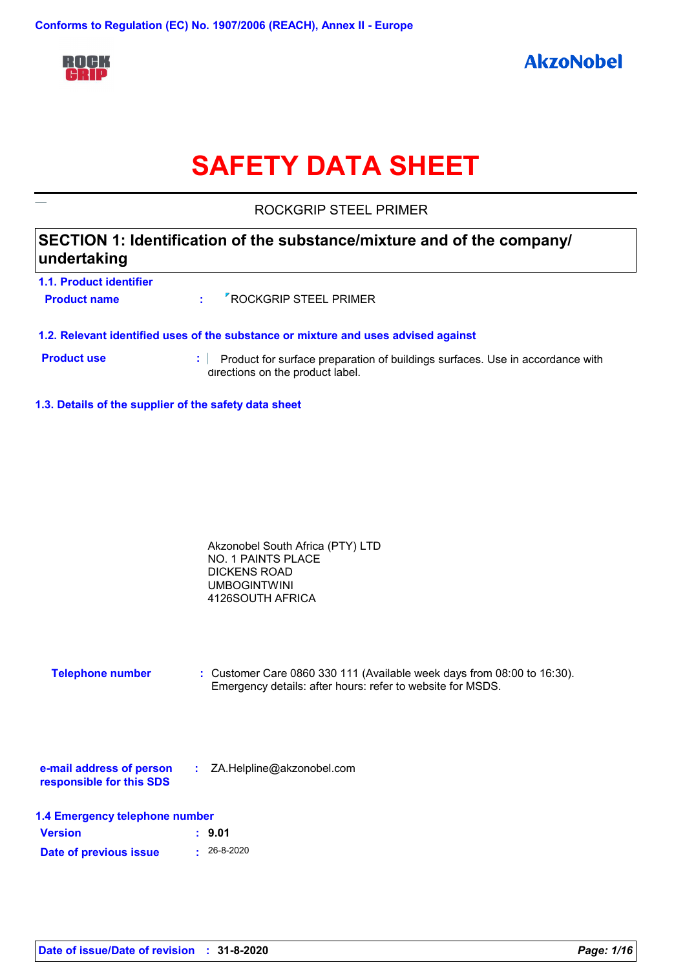

# **SAFETY DATA SHEET**

ROCKGRIP STEEL PRIMER

### **SECTION 1: Identification of the substance/mixture and of the company/ undertaking**

| 1.1. Product identifier |                                      |  |
|-------------------------|--------------------------------------|--|
| <b>Product name</b>     | : <sup>7</sup> ROCKGRIP STEEL PRIMER |  |
|                         |                                      |  |

#### **1.2. Relevant identified uses of the substance or mixture and uses advised against**

- **Product use <b>:** Product for surface preparation of buildings surfaces. Use in accordance with directions on the product label.
- **1.3. Details of the supplier of the safety data sheet**

| Akzonobel South Africa (PTY) LTD |  |
|----------------------------------|--|
| NO. 1 PAINTS PLACE               |  |
| DICKENS ROAD                     |  |
| <b>UMBOGINTWINI</b>              |  |
| 4126SOUTH AFRICA                 |  |

| <b>Telephone number</b> | : Customer Care 0860 330 111 (Available week days from 08:00 to 16:30). |
|-------------------------|-------------------------------------------------------------------------|
|                         | Emergency details: after hours: refer to website for MSDS.              |

| e-mail address of person | ZA.Helpline@akzonobel.com |  |
|--------------------------|---------------------------|--|
| responsible for this SDS |                           |  |

| 1.4 Emergency telephone number |  |  |
|--------------------------------|--|--|
|--------------------------------|--|--|

| <b>Version</b>         | : 9.01            |
|------------------------|-------------------|
| Date of previous issue | $\cdot$ 26-8-2020 |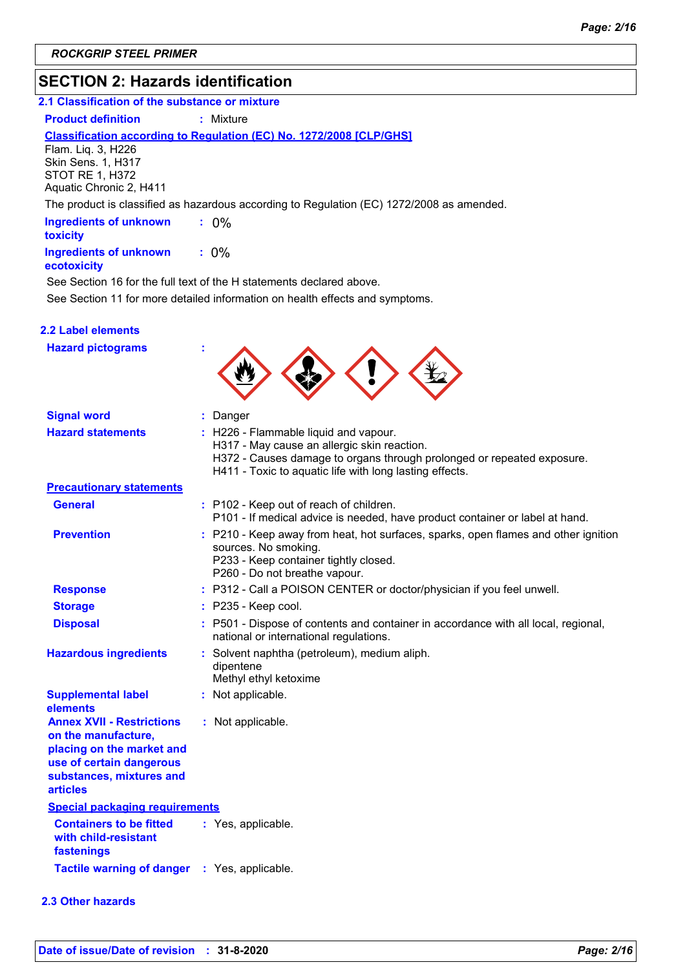### **SECTION 2: Hazards identification**

### **2.1 Classification of the substance or mixture**

**Product definition : Mixture** 

### **Classification according to Regulation (EC) No. 1272/2008 [CLP/GHS]**

Flam. Liq. 3, H226 Skin Sens. 1, H317 STOT RE 1, H372 Aquatic Chronic 2, H411

The product is classified as hazardous according to Regulation (EC) 1272/2008 as amended.

| <b>Ingredients of unknown</b><br>toxicity | $: 0\%$ |  |
|-------------------------------------------|---------|--|
| <b>Ingredients of unknown</b>             | $: 0\%$ |  |

#### **ecotoxicity**

See Section 11 for more detailed information on health effects and symptoms. See Section 16 for the full text of the H statements declared above.

#### **2.2 Label elements**

| <b>Hazard pictograms</b>                                                                                                                                        |                                                                                                                                                                                                                           |
|-----------------------------------------------------------------------------------------------------------------------------------------------------------------|---------------------------------------------------------------------------------------------------------------------------------------------------------------------------------------------------------------------------|
| <b>Signal word</b>                                                                                                                                              | : Danger                                                                                                                                                                                                                  |
| <b>Hazard statements</b>                                                                                                                                        | : H226 - Flammable liquid and vapour.<br>H317 - May cause an allergic skin reaction.<br>H372 - Causes damage to organs through prolonged or repeated exposure.<br>H411 - Toxic to aquatic life with long lasting effects. |
| <b>Precautionary statements</b>                                                                                                                                 |                                                                                                                                                                                                                           |
| <b>General</b>                                                                                                                                                  | : P102 - Keep out of reach of children.<br>P101 - If medical advice is needed, have product container or label at hand.                                                                                                   |
| <b>Prevention</b>                                                                                                                                               | : P210 - Keep away from heat, hot surfaces, sparks, open flames and other ignition<br>sources. No smoking.<br>P233 - Keep container tightly closed.<br>P260 - Do not breathe vapour.                                      |
| <b>Response</b>                                                                                                                                                 | : P312 - Call a POISON CENTER or doctor/physician if you feel unwell.                                                                                                                                                     |
| <b>Storage</b>                                                                                                                                                  | $:$ P235 - Keep cool.                                                                                                                                                                                                     |
| <b>Disposal</b>                                                                                                                                                 | : P501 - Dispose of contents and container in accordance with all local, regional,<br>national or international regulations.                                                                                              |
| <b>Hazardous ingredients</b>                                                                                                                                    | : Solvent naphtha (petroleum), medium aliph.<br>dipentene<br>Methyl ethyl ketoxime                                                                                                                                        |
| <b>Supplemental label</b><br>elements                                                                                                                           | : Not applicable.                                                                                                                                                                                                         |
| <b>Annex XVII - Restrictions</b><br>on the manufacture,<br>placing on the market and<br>use of certain dangerous<br>substances, mixtures and<br><b>articles</b> | : Not applicable.                                                                                                                                                                                                         |
| <b>Special packaging requirements</b>                                                                                                                           |                                                                                                                                                                                                                           |
| <b>Containers to be fitted</b><br>with child-resistant<br>fastenings                                                                                            | : Yes, applicable.                                                                                                                                                                                                        |
| <b>Tactile warning of danger</b>                                                                                                                                | : Yes, applicable.                                                                                                                                                                                                        |

#### **2.3 Other hazards**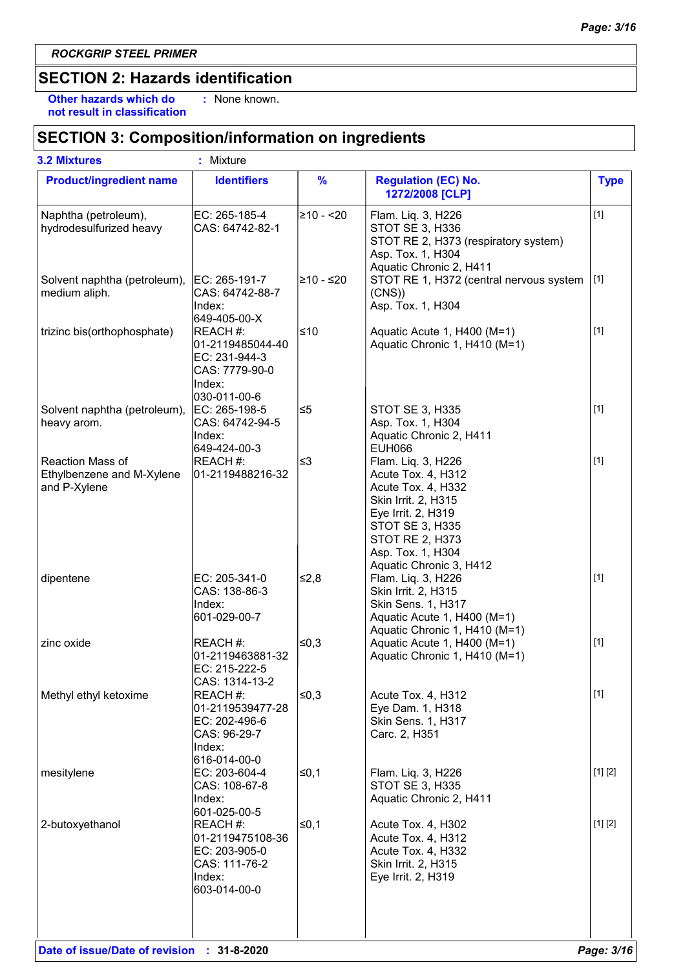### **SECTION 2: Hazards identification**

**Other hazards which do : not result in classification** : None known.

### **SECTION 3: Composition/information on ingredients**

| <b>3.2 Mixtures</b>                                           | ÷.<br>Mixture                                                                             |               |                                                                                                                                                                                                                 |             |
|---------------------------------------------------------------|-------------------------------------------------------------------------------------------|---------------|-----------------------------------------------------------------------------------------------------------------------------------------------------------------------------------------------------------------|-------------|
| <b>Product/ingredient name</b>                                | <b>Identifiers</b>                                                                        | $\frac{9}{6}$ | <b>Regulation (EC) No.</b><br>1272/2008 [CLP]                                                                                                                                                                   | <b>Type</b> |
| Naphtha (petroleum),<br>hydrodesulfurized heavy               | EC: 265-185-4<br>CAS: 64742-82-1                                                          | 210 - <20     | Flam. Liq. 3, H226<br>STOT SE 3, H336<br>STOT RE 2, H373 (respiratory system)<br>Asp. Tox. 1, H304<br>Aquatic Chronic 2, H411                                                                                   | $[1]$       |
| Solvent naphtha (petroleum),  EC: 265-191-7<br>medium aliph.  | CAS: 64742-88-7<br>Index:<br>649-405-00-X                                                 | 210 - ≤20∣    | STOT RE 1, H372 (central nervous system<br>(CNS)<br>Asp. Tox. 1, H304                                                                                                                                           | $[1]$       |
| trizinc bis(orthophosphate)                                   | REACH #:<br>01-2119485044-40<br>EC: 231-944-3<br>CAS: 7779-90-0<br>Index:<br>030-011-00-6 | ≤10           | Aquatic Acute 1, H400 (M=1)<br>Aquatic Chronic 1, H410 (M=1)                                                                                                                                                    | $[1]$       |
| Solvent naphtha (petroleum),<br>heavy arom.                   | EC: 265-198-5<br>CAS: 64742-94-5<br>Index:<br>649-424-00-3                                | ∣≤5           | <b>STOT SE 3, H335</b><br>Asp. Tox. 1, H304<br>Aquatic Chronic 2, H411<br><b>EUH066</b>                                                                                                                         | $[1]$       |
| Reaction Mass of<br>Ethylbenzene and M-Xylene<br>and P-Xylene | REACH #:<br>01-2119488216-32                                                              | ≤3            | Flam. Liq. 3, H226<br>Acute Tox. 4, H312<br>Acute Tox. 4, H332<br>Skin Irrit. 2, H315<br>Eye Irrit. 2, H319<br><b>STOT SE 3, H335</b><br><b>STOT RE 2, H373</b><br>Asp. Tox. 1, H304<br>Aquatic Chronic 3, H412 | $[1]$       |
| dipentene                                                     | EC: 205-341-0<br>CAS: 138-86-3<br>Index:<br>601-029-00-7                                  | ≰2,8          | Flam. Liq. 3, H226<br>Skin Irrit. 2, H315<br>Skin Sens. 1, H317<br>Aquatic Acute 1, H400 (M=1)<br>Aquatic Chronic 1, H410 (M=1)                                                                                 | $[1]$       |
| zinc oxide                                                    | REACH #:<br>01-2119463881-32<br>IEC: 215-222-5<br>CAS: 1314-13-2                          | ≤0,3          | Aquatic Acute 1, H400 (M=1)<br>Aquatic Chronic 1, H410 (M=1)                                                                                                                                                    | $[1]$       |
| Methyl ethyl ketoxime                                         | REACH #:<br>01-2119539477-28<br>EC: 202-496-6<br>CAS: 96-29-7<br>Index:<br>616-014-00-0   | ∣≤0,3         | Acute Tox. 4, H312<br>Eye Dam. 1, H318<br>Skin Sens. 1, H317<br>Carc. 2, H351                                                                                                                                   | $[1]$       |
| mesitylene                                                    | EC: 203-604-4<br>CAS: 108-67-8<br>Index:<br>601-025-00-5                                  | ≤0,1          | Flam. Liq. 3, H226<br>STOT SE 3, H335<br>Aquatic Chronic 2, H411                                                                                                                                                | [1] [2]     |
| 2-butoxyethanol                                               | REACH #:<br>01-2119475108-36<br>EC: 203-905-0<br>CAS: 111-76-2<br>Index:<br>603-014-00-0  | ≤ $0,1$       | Acute Tox. 4, H302<br>Acute Tox. 4, H312<br>Acute Tox. 4, H332<br>Skin Irrit. 2, H315<br>Eye Irrit. 2, H319                                                                                                     | [1] [2]     |
|                                                               |                                                                                           |               |                                                                                                                                                                                                                 |             |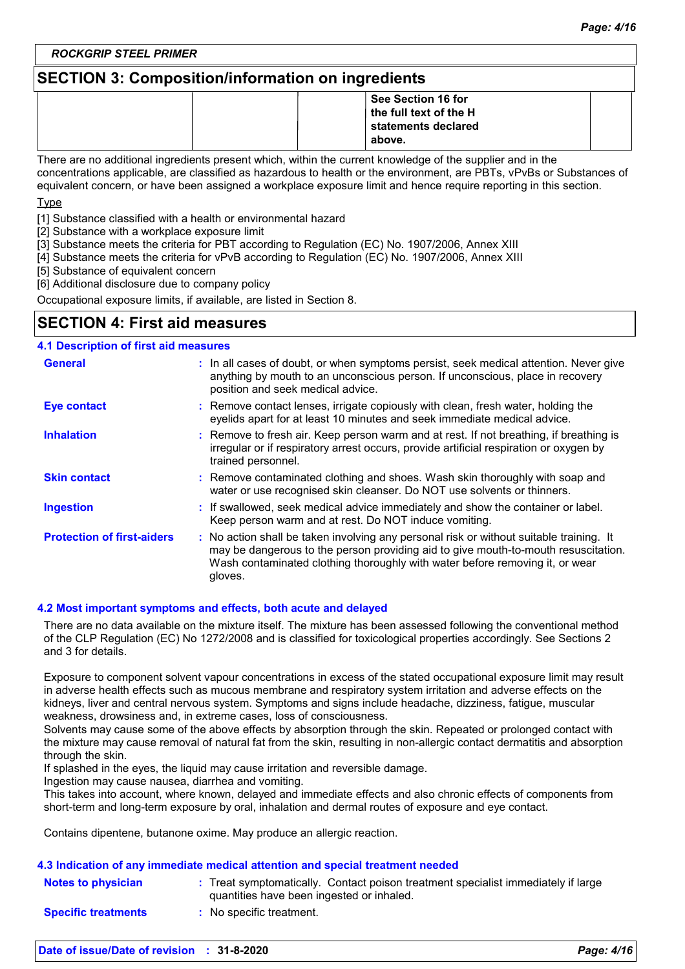### **SECTION 3: Composition/information on ingredients**

|  | See Section 16 for                     |  |
|--|----------------------------------------|--|
|  | $\vert$ the full text of the H $\vert$ |  |
|  | statements declared                    |  |
|  | above.                                 |  |

There are no additional ingredients present which, within the current knowledge of the supplier and in the concentrations applicable, are classified as hazardous to health or the environment, are PBTs, vPvBs or Substances of equivalent concern, or have been assigned a workplace exposure limit and hence require reporting in this section. Type

[1] Substance classified with a health or environmental hazard

[2] Substance with a workplace exposure limit

[3] Substance meets the criteria for PBT according to Regulation (EC) No. 1907/2006, Annex XIII

[4] Substance meets the criteria for vPvB according to Regulation (EC) No. 1907/2006, Annex XIII

[5] Substance of equivalent concern

[6] Additional disclosure due to company policy

Occupational exposure limits, if available, are listed in Section 8.

### **SECTION 4: First aid measures**

#### **:** If swallowed, seek medical advice immediately and show the container or label. Keep person warm and at rest. Do NOT induce vomiting. Remove contact lenses, irrigate copiously with clean, fresh water, holding the **:** eyelids apart for at least 10 minutes and seek immediate medical advice. Remove contaminated clothing and shoes. Wash skin thoroughly with soap and **:** water or use recognised skin cleanser. Do NOT use solvents or thinners. **:** Remove to fresh air. Keep person warm and at rest. If not breathing, if breathing is irregular or if respiratory arrest occurs, provide artificial respiration or oxygen by trained personnel. General **In all cases of doubt, or when symptoms persist, seek medical attention. Never give <b>General** anything by mouth to an unconscious person. If unconscious, place in recovery position and seek medical advice. **Skin contact 4.1 Description of first aid measures Ingestion Inhalation Eye contact Protection of first-aiders** : No action shall be taken involving any personal risk or without suitable training. It may be dangerous to the person providing aid to give mouth-to-mouth resuscitation. Wash contaminated clothing thoroughly with water before removing it, or wear gloves.

#### **4.2 Most important symptoms and effects, both acute and delayed**

There are no data available on the mixture itself. The mixture has been assessed following the conventional method of the CLP Regulation (EC) No 1272/2008 and is classified for toxicological properties accordingly. See Sections 2 and 3 for details.

Exposure to component solvent vapour concentrations in excess of the stated occupational exposure limit may result in adverse health effects such as mucous membrane and respiratory system irritation and adverse effects on the kidneys, liver and central nervous system. Symptoms and signs include headache, dizziness, fatigue, muscular weakness, drowsiness and, in extreme cases, loss of consciousness.

Solvents may cause some of the above effects by absorption through the skin. Repeated or prolonged contact with the mixture may cause removal of natural fat from the skin, resulting in non-allergic contact dermatitis and absorption through the skin.

If splashed in the eyes, the liquid may cause irritation and reversible damage.

Ingestion may cause nausea, diarrhea and vomiting.

This takes into account, where known, delayed and immediate effects and also chronic effects of components from short-term and long-term exposure by oral, inhalation and dermal routes of exposure and eye contact.

Contains dipentene, butanone oxime. May produce an allergic reaction.

#### **4.3 Indication of any immediate medical attention and special treatment needed**

| <b>Notes to physician</b>  | Treat symptomatically. Contact poison treatment specialist immediately if large<br>quantities have been ingested or inhaled. |
|----------------------------|------------------------------------------------------------------------------------------------------------------------------|
| <b>Specific treatments</b> | No specific treatment.                                                                                                       |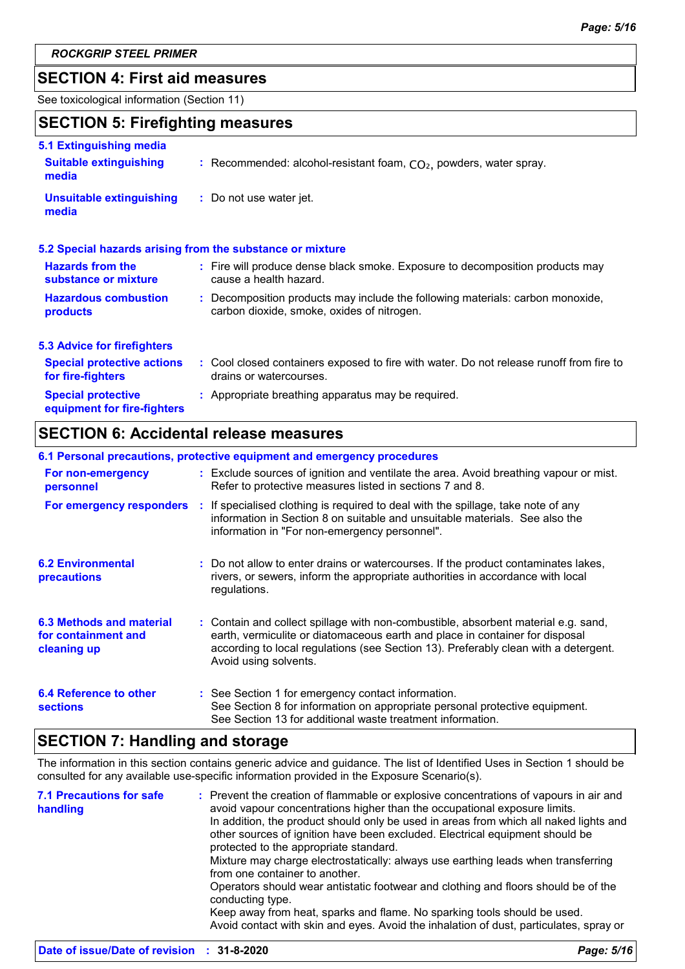### **SECTION 4: First aid measures**

See toxicological information (Section 11)

### **SECTION 5: Firefighting measures**

| 5.1 Extinguishing media                                  |                                                                                                                              |
|----------------------------------------------------------|------------------------------------------------------------------------------------------------------------------------------|
| <b>Suitable extinguishing</b><br>media                   | : Recommended: alcohol-resistant foam, $CO2$ , powders, water spray.                                                         |
| <b>Unsuitable extinguishing</b><br>media                 | : Do not use water jet.                                                                                                      |
|                                                          | 5.2 Special hazards arising from the substance or mixture                                                                    |
| <b>Hazards from the</b><br>substance or mixture          | : Fire will produce dense black smoke. Exposure to decomposition products may<br>cause a health hazard.                      |
| <b>Hazardous combustion</b><br>products                  | : Decomposition products may include the following materials: carbon monoxide,<br>carbon dioxide, smoke, oxides of nitrogen. |
| <b>5.3 Advice for firefighters</b>                       |                                                                                                                              |
| <b>Special protective actions</b><br>for fire-fighters   | : Cool closed containers exposed to fire with water. Do not release runoff from fire to<br>drains or watercourses.           |
| <b>Special protective</b><br>equipment for fire-fighters | : Appropriate breathing apparatus may be required.                                                                           |

### **SECTION 6: Accidental release measures**

| 6.1 Personal precautions, protective equipment and emergency procedures |  |                                                                                                                                                                                                                                                                                    |  |  |
|-------------------------------------------------------------------------|--|------------------------------------------------------------------------------------------------------------------------------------------------------------------------------------------------------------------------------------------------------------------------------------|--|--|
| For non-emergency<br>personnel                                          |  | : Exclude sources of ignition and ventilate the area. Avoid breathing vapour or mist.<br>Refer to protective measures listed in sections 7 and 8.                                                                                                                                  |  |  |
| For emergency responders                                                |  | : If specialised clothing is required to deal with the spillage, take note of any<br>information in Section 8 on suitable and unsuitable materials. See also the<br>information in "For non-emergency personnel".                                                                  |  |  |
| <b>6.2 Environmental</b><br>precautions                                 |  | : Do not allow to enter drains or watercourses. If the product contaminates lakes,<br>rivers, or sewers, inform the appropriate authorities in accordance with local<br>regulations.                                                                                               |  |  |
| 6.3 Methods and material<br>for containment and<br>cleaning up          |  | : Contain and collect spillage with non-combustible, absorbent material e.g. sand,<br>earth, vermiculite or diatomaceous earth and place in container for disposal<br>according to local regulations (see Section 13). Preferably clean with a detergent.<br>Avoid using solvents. |  |  |
| 6.4 Reference to other<br><b>sections</b>                               |  | : See Section 1 for emergency contact information.<br>See Section 8 for information on appropriate personal protective equipment.<br>See Section 13 for additional waste treatment information.                                                                                    |  |  |

### **SECTION 7: Handling and storage**

The information in this section contains generic advice and guidance. The list of Identified Uses in Section 1 should be consulted for any available use-specific information provided in the Exposure Scenario(s).

| <b>7.1 Precautions for safe</b><br>handling | : Prevent the creation of flammable or explosive concentrations of vapours in air and<br>avoid vapour concentrations higher than the occupational exposure limits.<br>In addition, the product should only be used in areas from which all naked lights and<br>other sources of ignition have been excluded. Electrical equipment should be<br>protected to the appropriate standard.<br>Mixture may charge electrostatically: always use earthing leads when transferring<br>from one container to another.<br>Operators should wear antistatic footwear and clothing and floors should be of the<br>conducting type. |
|---------------------------------------------|------------------------------------------------------------------------------------------------------------------------------------------------------------------------------------------------------------------------------------------------------------------------------------------------------------------------------------------------------------------------------------------------------------------------------------------------------------------------------------------------------------------------------------------------------------------------------------------------------------------------|
|                                             | Keep away from heat, sparks and flame. No sparking tools should be used.<br>Avoid contact with skin and eyes. Avoid the inhalation of dust, particulates, spray or                                                                                                                                                                                                                                                                                                                                                                                                                                                     |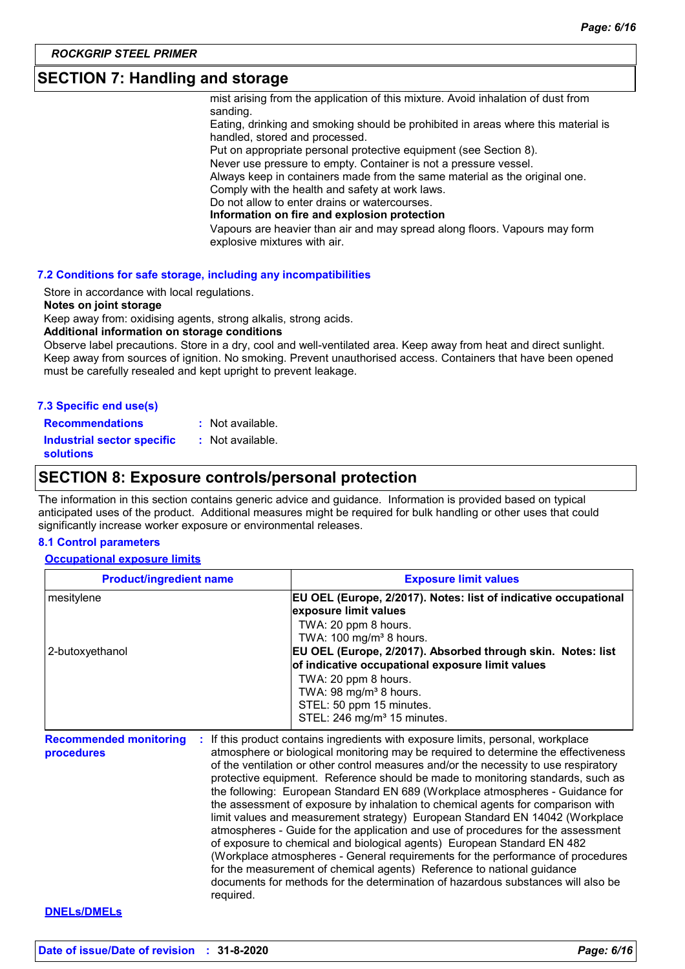### **SECTION 7: Handling and storage**

mist arising from the application of this mixture. Avoid inhalation of dust from sanding.

Eating, drinking and smoking should be prohibited in areas where this material is handled, stored and processed.

Put on appropriate personal protective equipment (see Section 8).

Never use pressure to empty. Container is not a pressure vessel.

Always keep in containers made from the same material as the original one.

Comply with the health and safety at work laws.

Do not allow to enter drains or watercourses.

**Information on fire and explosion protection**

Vapours are heavier than air and may spread along floors. Vapours may form explosive mixtures with air.

#### **7.2 Conditions for safe storage, including any incompatibilities**

Store in accordance with local regulations.

#### **Notes on joint storage**

Keep away from: oxidising agents, strong alkalis, strong acids.

#### **Additional information on storage conditions**

Observe label precautions. Store in a dry, cool and well-ventilated area. Keep away from heat and direct sunlight. Keep away from sources of ignition. No smoking. Prevent unauthorised access. Containers that have been opened must be carefully resealed and kept upright to prevent leakage.

|  | 7.3 Specific end use(s) |  |
|--|-------------------------|--|
|  |                         |  |

| <b>Recommendations</b> | : Not available. |
|------------------------|------------------|
|                        |                  |

**Industrial sector specific :** : Not available.

**solutions**

### **SECTION 8: Exposure controls/personal protection**

The information in this section contains generic advice and guidance. Information is provided based on typical anticipated uses of the product. Additional measures might be required for bulk handling or other uses that could significantly increase worker exposure or environmental releases.

#### **8.1 Control parameters**

#### **Occupational exposure limits**

| <b>Product/ingredient name</b>                   | <b>Exposure limit values</b>                                                                                                                                                                                                                                                                                                                                                                                                                                                                                                                                                                                                                                                                                                                                                                                                                                                                                                    |
|--------------------------------------------------|---------------------------------------------------------------------------------------------------------------------------------------------------------------------------------------------------------------------------------------------------------------------------------------------------------------------------------------------------------------------------------------------------------------------------------------------------------------------------------------------------------------------------------------------------------------------------------------------------------------------------------------------------------------------------------------------------------------------------------------------------------------------------------------------------------------------------------------------------------------------------------------------------------------------------------|
| mesitylene                                       | EU OEL (Europe, 2/2017). Notes: list of indicative occupational<br>exposure limit values<br>TWA: 20 ppm 8 hours.                                                                                                                                                                                                                                                                                                                                                                                                                                                                                                                                                                                                                                                                                                                                                                                                                |
| 2-butoxyethanol                                  | TWA: $100 \text{ mg/m}^3$ 8 hours.<br>EU OEL (Europe, 2/2017). Absorbed through skin. Notes: list<br>of indicative occupational exposure limit values                                                                                                                                                                                                                                                                                                                                                                                                                                                                                                                                                                                                                                                                                                                                                                           |
|                                                  | TWA: 20 ppm 8 hours.<br>TWA: 98 mg/m <sup>3</sup> 8 hours.<br>STEL: 50 ppm 15 minutes.<br>STEL: 246 mg/m <sup>3</sup> 15 minutes.                                                                                                                                                                                                                                                                                                                                                                                                                                                                                                                                                                                                                                                                                                                                                                                               |
| <b>Recommended monitoring</b><br>÷<br>procedures | If this product contains ingredients with exposure limits, personal, workplace<br>atmosphere or biological monitoring may be required to determine the effectiveness<br>of the ventilation or other control measures and/or the necessity to use respiratory<br>protective equipment. Reference should be made to monitoring standards, such as<br>the following: European Standard EN 689 (Workplace atmospheres - Guidance for<br>the assessment of exposure by inhalation to chemical agents for comparison with<br>limit values and measurement strategy) European Standard EN 14042 (Workplace<br>atmospheres - Guide for the application and use of procedures for the assessment<br>of exposure to chemical and biological agents) European Standard EN 482<br>(Workplace atmospheres - General requirements for the performance of procedures<br>for the measurement of chemical agents) Reference to national guidance |

documents for methods for the determination of hazardous substances will also be required.

#### **DNELs/DMELs**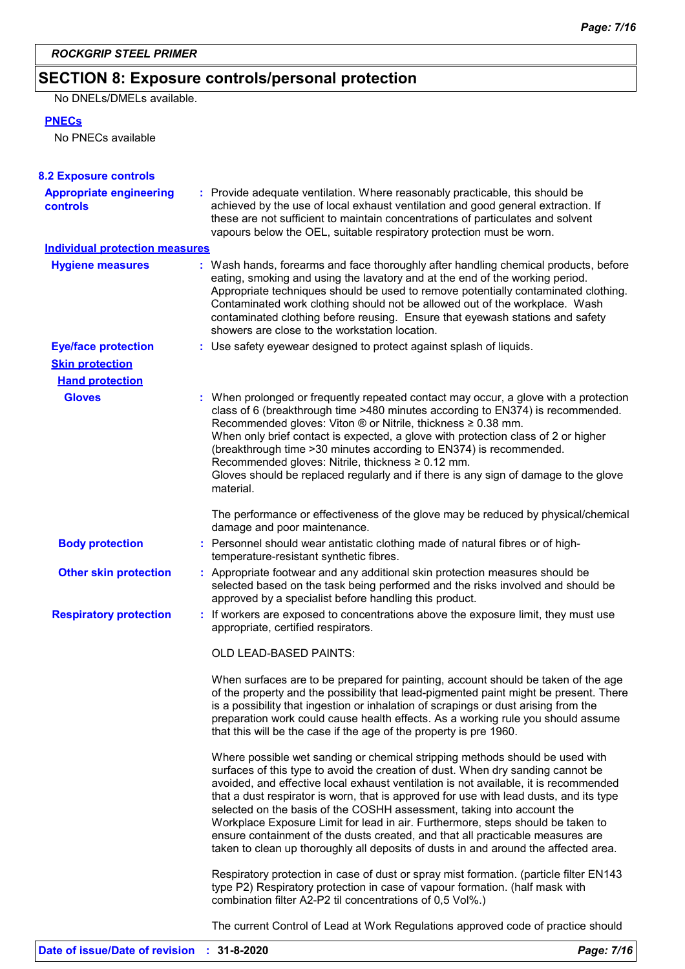### **SECTION 8: Exposure controls/personal protection**

No DNELs/DMELs available.

### **PNECs**

No PNECs available

| <b>8.2 Exposure controls</b>               |                                                                                                                                                                                                                                                                                                                                                                                                                                                                                                                                                                                                                                                                                         |  |  |
|--------------------------------------------|-----------------------------------------------------------------------------------------------------------------------------------------------------------------------------------------------------------------------------------------------------------------------------------------------------------------------------------------------------------------------------------------------------------------------------------------------------------------------------------------------------------------------------------------------------------------------------------------------------------------------------------------------------------------------------------------|--|--|
| <b>Appropriate engineering</b><br>controls | : Provide adequate ventilation. Where reasonably practicable, this should be<br>achieved by the use of local exhaust ventilation and good general extraction. If<br>these are not sufficient to maintain concentrations of particulates and solvent<br>vapours below the OEL, suitable respiratory protection must be worn.                                                                                                                                                                                                                                                                                                                                                             |  |  |
| <b>Individual protection measures</b>      |                                                                                                                                                                                                                                                                                                                                                                                                                                                                                                                                                                                                                                                                                         |  |  |
| <b>Hygiene measures</b>                    | : Wash hands, forearms and face thoroughly after handling chemical products, before<br>eating, smoking and using the lavatory and at the end of the working period.<br>Appropriate techniques should be used to remove potentially contaminated clothing.<br>Contaminated work clothing should not be allowed out of the workplace. Wash<br>contaminated clothing before reusing. Ensure that eyewash stations and safety<br>showers are close to the workstation location.                                                                                                                                                                                                             |  |  |
| <b>Eye/face protection</b>                 | : Use safety eyewear designed to protect against splash of liquids.                                                                                                                                                                                                                                                                                                                                                                                                                                                                                                                                                                                                                     |  |  |
| <b>Skin protection</b>                     |                                                                                                                                                                                                                                                                                                                                                                                                                                                                                                                                                                                                                                                                                         |  |  |
| <b>Hand protection</b>                     |                                                                                                                                                                                                                                                                                                                                                                                                                                                                                                                                                                                                                                                                                         |  |  |
| <b>Gloves</b>                              | : When prolonged or frequently repeated contact may occur, a glove with a protection<br>class of 6 (breakthrough time >480 minutes according to EN374) is recommended.<br>Recommended gloves: Viton $\otimes$ or Nitrile, thickness $\geq 0.38$ mm.<br>When only brief contact is expected, a glove with protection class of 2 or higher<br>(breakthrough time > 30 minutes according to EN374) is recommended.<br>Recommended gloves: Nitrile, thickness ≥ 0.12 mm.<br>Gloves should be replaced regularly and if there is any sign of damage to the glove<br>material.                                                                                                                |  |  |
|                                            | The performance or effectiveness of the glove may be reduced by physical/chemical<br>damage and poor maintenance.                                                                                                                                                                                                                                                                                                                                                                                                                                                                                                                                                                       |  |  |
| <b>Body protection</b>                     | : Personnel should wear antistatic clothing made of natural fibres or of high-<br>temperature-resistant synthetic fibres.                                                                                                                                                                                                                                                                                                                                                                                                                                                                                                                                                               |  |  |
| <b>Other skin protection</b>               | : Appropriate footwear and any additional skin protection measures should be<br>selected based on the task being performed and the risks involved and should be<br>approved by a specialist before handling this product.                                                                                                                                                                                                                                                                                                                                                                                                                                                               |  |  |
| <b>Respiratory protection</b>              | : If workers are exposed to concentrations above the exposure limit, they must use<br>appropriate, certified respirators.                                                                                                                                                                                                                                                                                                                                                                                                                                                                                                                                                               |  |  |
|                                            | OLD LEAD-BASED PAINTS:                                                                                                                                                                                                                                                                                                                                                                                                                                                                                                                                                                                                                                                                  |  |  |
|                                            | When surfaces are to be prepared for painting, account should be taken of the age<br>of the property and the possibility that lead-pigmented paint might be present. There<br>is a possibility that ingestion or inhalation of scrapings or dust arising from the<br>preparation work could cause health effects. As a working rule you should assume<br>that this will be the case if the age of the property is pre 1960.                                                                                                                                                                                                                                                             |  |  |
|                                            | Where possible wet sanding or chemical stripping methods should be used with<br>surfaces of this type to avoid the creation of dust. When dry sanding cannot be<br>avoided, and effective local exhaust ventilation is not available, it is recommended<br>that a dust respirator is worn, that is approved for use with lead dusts, and its type<br>selected on the basis of the COSHH assessment, taking into account the<br>Workplace Exposure Limit for lead in air. Furthermore, steps should be taken to<br>ensure containment of the dusts created, and that all practicable measures are<br>taken to clean up thoroughly all deposits of dusts in and around the affected area. |  |  |
|                                            | Respiratory protection in case of dust or spray mist formation. (particle filter EN143<br>type P2) Respiratory protection in case of vapour formation. (half mask with<br>combination filter A2-P2 til concentrations of 0,5 Vol%.)                                                                                                                                                                                                                                                                                                                                                                                                                                                     |  |  |
|                                            | The current Control of Lead at Work Regulations approved code of practice should                                                                                                                                                                                                                                                                                                                                                                                                                                                                                                                                                                                                        |  |  |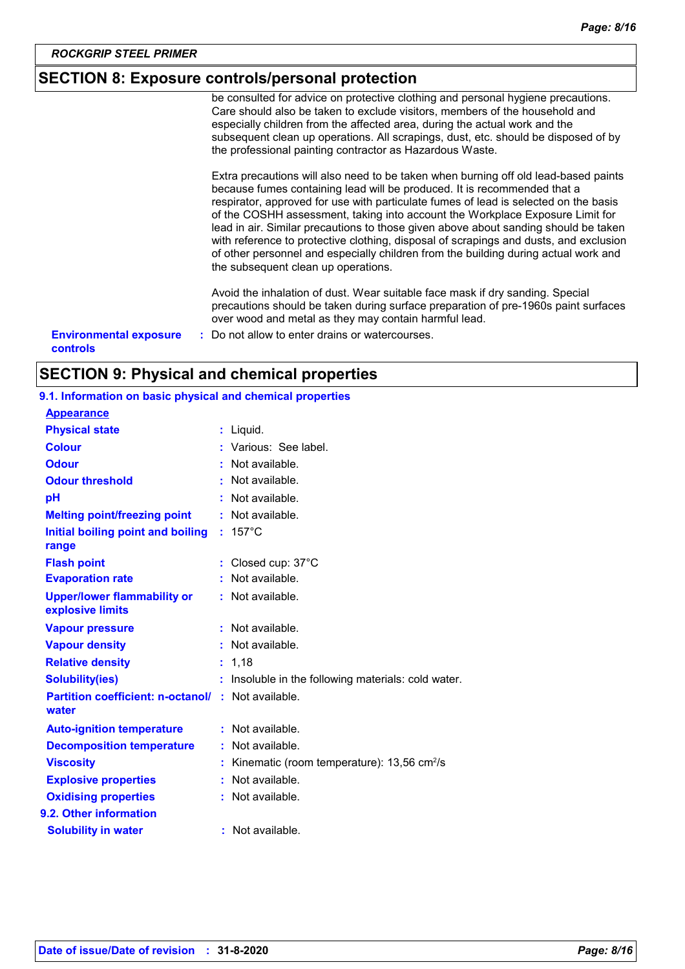### **SECTION 8: Exposure controls/personal protection**

be consulted for advice on protective clothing and personal hygiene precautions. Care should also be taken to exclude visitors, members of the household and especially children from the affected area, during the actual work and the subsequent clean up operations. All scrapings, dust, etc. should be disposed of by the professional painting contractor as Hazardous Waste.

Extra precautions will also need to be taken when burning off old lead-based paints because fumes containing lead will be produced. It is recommended that a respirator, approved for use with particulate fumes of lead is selected on the basis of the COSHH assessment, taking into account the Workplace Exposure Limit for lead in air. Similar precautions to those given above about sanding should be taken with reference to protective clothing, disposal of scrapings and dusts, and exclusion of other personnel and especially children from the building during actual work and the subsequent clean up operations.

Avoid the inhalation of dust. Wear suitable face mask if dry sanding. Special precautions should be taken during surface preparation of pre-1960s paint surfaces over wood and metal as they may contain harmful lead.

**Environmental exposure : Do not allow to enter drains or watercourses. controls**

### **SECTION 9: Physical and chemical properties**

#### **9.1. Information on basic physical and chemical properties**

| <b>Appearance</b>                                      |    |                                                        |
|--------------------------------------------------------|----|--------------------------------------------------------|
| <b>Physical state</b>                                  |    | : Liquid.                                              |
| <b>Colour</b>                                          |    | Various: See label.                                    |
| <b>Odour</b>                                           |    | $:$ Not available.                                     |
| <b>Odour threshold</b>                                 |    | Not available.                                         |
| рH                                                     |    | Not available.                                         |
| <b>Melting point/freezing point</b>                    | ÷. | Not available.                                         |
| Initial boiling point and boiling<br>range             |    | $: 157^{\circ}$ C                                      |
| <b>Flash point</b>                                     |    | : Closed cup: 37°C                                     |
| <b>Evaporation rate</b>                                |    | : Not available.                                       |
| <b>Upper/lower flammability or</b><br>explosive limits |    | : Not available.                                       |
| <b>Vapour pressure</b>                                 |    | Not available.                                         |
| <b>Vapour density</b>                                  |    | $:$ Not available.                                     |
| <b>Relative density</b>                                |    | 1,18                                                   |
| <b>Solubility(ies)</b>                                 |    | Insoluble in the following materials: cold water.      |
| <b>Partition coefficient: n-octanol/</b><br>water      |    | : Not available.                                       |
| <b>Auto-ignition temperature</b>                       |    | : Not available.                                       |
| <b>Decomposition temperature</b>                       |    | Not available.                                         |
| <b>Viscosity</b>                                       |    | Kinematic (room temperature): 13,56 cm <sup>2</sup> /s |
| <b>Explosive properties</b>                            |    | Not available.                                         |
| <b>Oxidising properties</b>                            |    | $:$ Not available.                                     |
| 9.2. Other information                                 |    |                                                        |
| <b>Solubility in water</b>                             |    | Not available.                                         |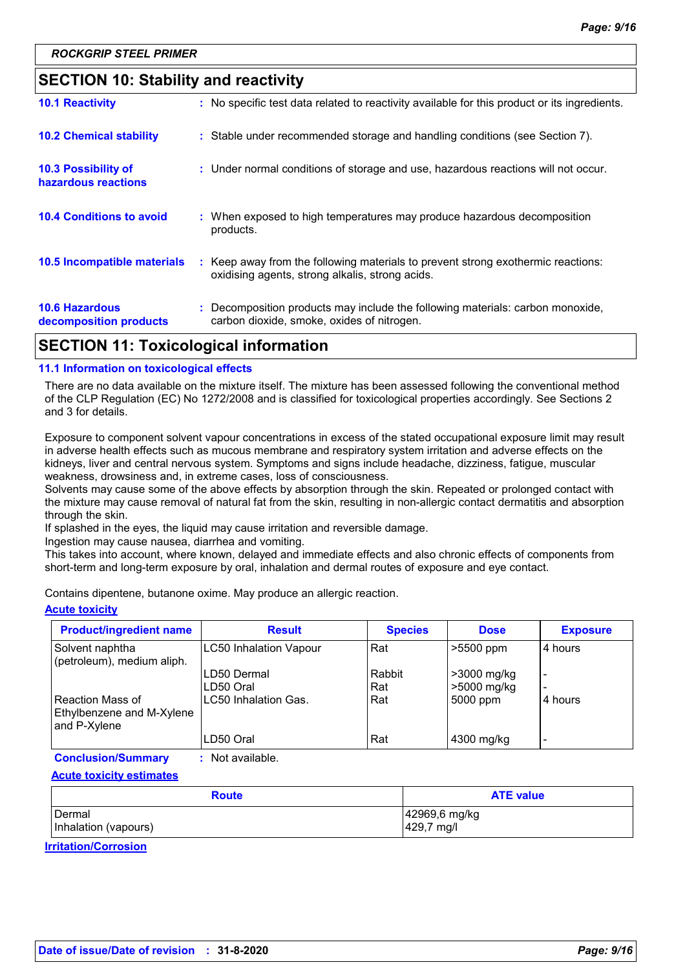### **SECTION 10: Stability and reactivity**

| APATIAN JJ T I I I I I I I I I                  |                                                                                                                                     |
|-------------------------------------------------|-------------------------------------------------------------------------------------------------------------------------------------|
| <b>10.6 Hazardous</b><br>decomposition products | : Decomposition products may include the following materials: carbon monoxide,<br>carbon dioxide, smoke, oxides of nitrogen.        |
| <b>10.5 Incompatible materials</b>              | : Keep away from the following materials to prevent strong exothermic reactions:<br>oxidising agents, strong alkalis, strong acids. |
| <b>10.4 Conditions to avoid</b>                 | : When exposed to high temperatures may produce hazardous decomposition<br>products.                                                |
| 10.3 Possibility of<br>hazardous reactions      | : Under normal conditions of storage and use, hazardous reactions will not occur.                                                   |
| <b>10.2 Chemical stability</b>                  | : Stable under recommended storage and handling conditions (see Section 7).                                                         |
| <b>10.1 Reactivity</b>                          | : No specific test data related to reactivity available for this product or its ingredients.                                        |

### **SECTION 11: Toxicological information**

#### **11.1 Information on toxicological effects**

There are no data available on the mixture itself. The mixture has been assessed following the conventional method of the CLP Regulation (EC) No 1272/2008 and is classified for toxicological properties accordingly. See Sections 2 and 3 for details.

Exposure to component solvent vapour concentrations in excess of the stated occupational exposure limit may result in adverse health effects such as mucous membrane and respiratory system irritation and adverse effects on the kidneys, liver and central nervous system. Symptoms and signs include headache, dizziness, fatigue, muscular weakness, drowsiness and, in extreme cases, loss of consciousness.

Solvents may cause some of the above effects by absorption through the skin. Repeated or prolonged contact with the mixture may cause removal of natural fat from the skin, resulting in non-allergic contact dermatitis and absorption through the skin.

If splashed in the eyes, the liquid may cause irritation and reversible damage.

Ingestion may cause nausea, diarrhea and vomiting.

This takes into account, where known, delayed and immediate effects and also chronic effects of components from short-term and long-term exposure by oral, inhalation and dermal routes of exposure and eye contact.

Contains dipentene, butanone oxime. May produce an allergic reaction.

#### **Acute toxicity**

| <b>Product/ingredient name</b>                                | <b>Result</b>                 | <b>Species</b> | <b>Dose</b>                | <b>Exposure</b> |
|---------------------------------------------------------------|-------------------------------|----------------|----------------------------|-----------------|
| Solvent naphtha<br>(petroleum), medium aliph.                 | <b>LC50 Inhalation Vapour</b> | Rat            | $>5500$ ppm                | 4 hours         |
|                                                               | LD50 Dermal<br>LD50 Oral      | Rabbit<br>Rat  | >3000 mg/kg<br>>5000 mg/kg | -<br>-          |
| Reaction Mass of<br>Ethylbenzene and M-Xylene<br>and P-Xylene | LC50 Inhalation Gas.          | Rat            | 5000 ppm                   | 4 hours         |
|                                                               | LD50 Oral                     | Rat            | 4300 mg/kg                 | -               |

**Conclusion/Summary :** Not available.

**Acute toxicity estimates**

| <b>Route</b>         | <b>ATE value</b> |  |  |
|----------------------|------------------|--|--|
| <b>I</b> Dermal      | 42969,6 mg/kg    |  |  |
| Inhalation (vapours) | 429,7 mg/l       |  |  |

**Irritation/Corrosion**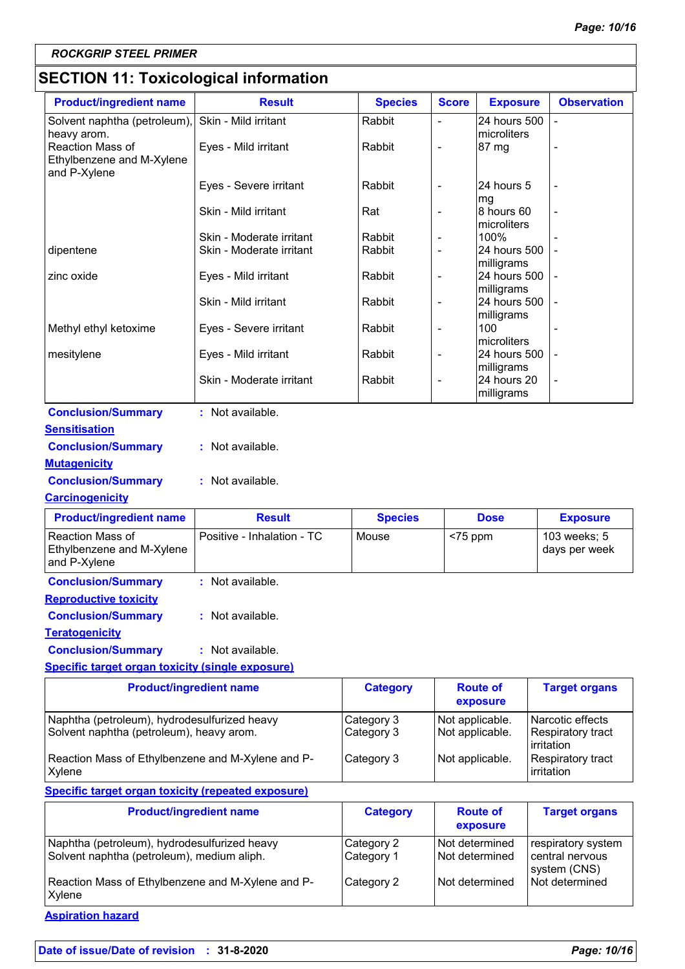## **SECTION 11: Toxicological information**

| <b>Product/ingredient name</b>                                                           | <b>Result</b>                                        | <b>Species</b>           | <b>Score</b>                    | <b>Exposure</b>                           | <b>Observation</b>                            |
|------------------------------------------------------------------------------------------|------------------------------------------------------|--------------------------|---------------------------------|-------------------------------------------|-----------------------------------------------|
| Solvent naphtha (petroleum),                                                             | Skin - Mild irritant                                 | Rabbit                   | $\overline{a}$                  | 24 hours 500                              |                                               |
| heavy arom.<br>Reaction Mass of<br>Ethylbenzene and M-Xylene                             | Eyes - Mild irritant                                 | Rabbit                   | L,                              | microliters<br>87 mg                      |                                               |
| and P-Xylene                                                                             | Eyes - Severe irritant                               | Rabbit                   | $\qquad \qquad -$               | 24 hours 5<br>mg                          |                                               |
|                                                                                          | Skin - Mild irritant                                 | Rat                      | $\qquad \qquad -$               | 8 hours 60<br>microliters                 |                                               |
| dipentene                                                                                | Skin - Moderate irritant<br>Skin - Moderate irritant | Rabbit<br>Rabbit         | $\overline{\phantom{0}}$        | 100%<br>24 hours 500                      |                                               |
| zinc oxide                                                                               | Eyes - Mild irritant                                 | Rabbit                   | $\qquad \qquad \blacksquare$    | milligrams<br>24 hours 500<br>milligrams  |                                               |
|                                                                                          | Skin - Mild irritant                                 | Rabbit                   | $\overline{\phantom{0}}$        | 24 hours 500<br>milligrams                |                                               |
| Methyl ethyl ketoxime                                                                    | Eyes - Severe irritant                               | Rabbit                   | $\overline{\phantom{0}}$        | 100                                       |                                               |
| mesitylene                                                                               | Eyes - Mild irritant                                 | Rabbit                   | ÷,                              | microliters<br>24 hours 500<br>milligrams |                                               |
|                                                                                          | Skin - Moderate irritant                             | Rabbit                   | 24 hours 20<br>÷,<br>milligrams |                                           |                                               |
| <b>Conclusion/Summary</b>                                                                | : Not available.                                     |                          |                                 |                                           |                                               |
| <b>Sensitisation</b>                                                                     |                                                      |                          |                                 |                                           |                                               |
| <b>Conclusion/Summary</b>                                                                | : Not available.                                     |                          |                                 |                                           |                                               |
| <b>Mutagenicity</b>                                                                      |                                                      |                          |                                 |                                           |                                               |
| <b>Conclusion/Summary</b>                                                                | : Not available.                                     |                          |                                 |                                           |                                               |
| <b>Carcinogenicity</b>                                                                   |                                                      |                          |                                 |                                           |                                               |
| <b>Product/ingredient name</b>                                                           | <b>Result</b>                                        | <b>Species</b>           |                                 | <b>Dose</b>                               | <b>Exposure</b>                               |
| Reaction Mass of<br>Ethylbenzene and M-Xylene<br>and P-Xylene                            | Positive - Inhalation - TC                           | Mouse                    | <75 ppm                         |                                           | 103 weeks; 5<br>days per week                 |
| <b>Conclusion/Summary</b>                                                                | : Not available.                                     |                          |                                 |                                           |                                               |
| <b>Reproductive toxicity</b>                                                             |                                                      |                          |                                 |                                           |                                               |
| <b>Conclusion/Summary</b>                                                                | : Not available.                                     |                          |                                 |                                           |                                               |
| <b>Teratogenicity</b>                                                                    |                                                      |                          |                                 |                                           |                                               |
| <b>Conclusion/Summary</b>                                                                | : Not available.                                     |                          |                                 |                                           |                                               |
| <b>Specific target organ toxicity (single exposure)</b>                                  |                                                      |                          |                                 |                                           |                                               |
| <b>Product/ingredient name</b>                                                           |                                                      | <b>Category</b>          |                                 | <b>Route of</b><br>exposure               | <b>Target organs</b>                          |
| Naphtha (petroleum), hydrodesulfurized heavy<br>Solvent naphtha (petroleum), heavy arom. |                                                      | Category 3<br>Category 3 |                                 | Not applicable.<br>Not applicable.        | Narcotic effects<br>Respiratory tract         |
| Reaction Mass of Ethylbenzene and M-Xylene and P-<br>Xylene                              |                                                      | Category 3               |                                 | Not applicable.                           | irritation<br>Respiratory tract<br>irritation |
| <b>Specific target organ toxicity (repeated exposure)</b>                                |                                                      |                          |                                 |                                           |                                               |
| <b>Product/ingredient name</b>                                                           |                                                      | <b>Category</b>          |                                 | <b>Route of</b>                           | <b>Target organs</b>                          |
|                                                                                          |                                                      |                          |                                 |                                           |                                               |

**Date of issue/Date of revision : 31-8-2020** *Page: 10/16*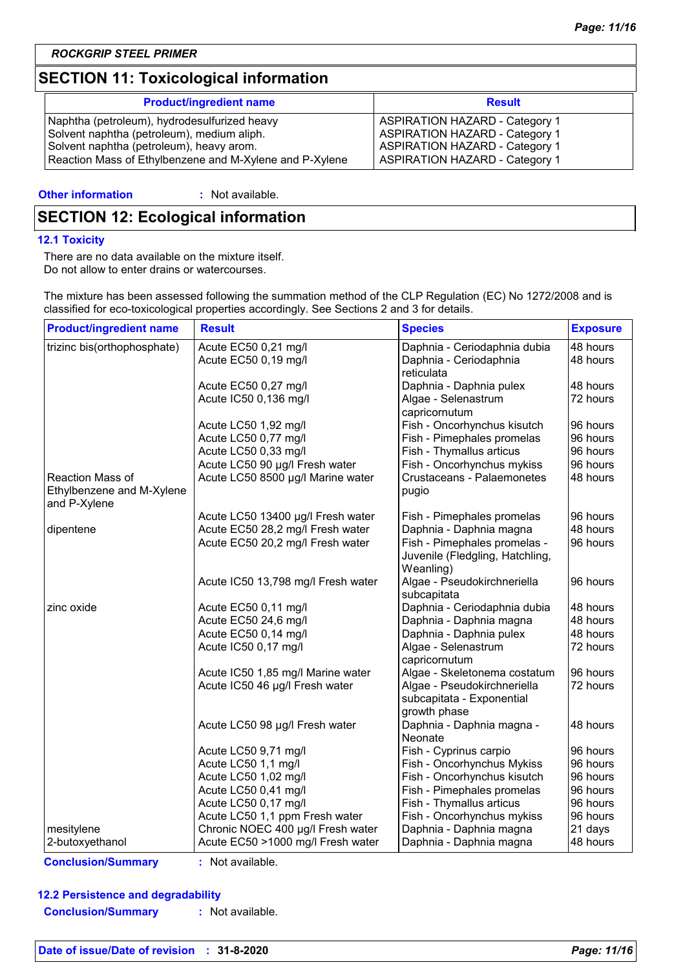### **SECTION 11: Toxicological information**

| <b>Product/ingredient name</b>                          | <b>Result</b>                         |
|---------------------------------------------------------|---------------------------------------|
| Naphtha (petroleum), hydrodesulfurized heavy            | <b>ASPIRATION HAZARD - Category 1</b> |
| Solvent naphtha (petroleum), medium aliph.              | <b>ASPIRATION HAZARD - Category 1</b> |
| Solvent naphtha (petroleum), heavy arom.                | <b>ASPIRATION HAZARD - Category 1</b> |
| Reaction Mass of Ethylbenzene and M-Xylene and P-Xylene | <b>ASPIRATION HAZARD - Category 1</b> |

#### **Other information :**

: Not available.

### **SECTION 12: Ecological information**

#### **12.1 Toxicity**

There are no data available on the mixture itself. Do not allow to enter drains or watercourses.

The mixture has been assessed following the summation method of the CLP Regulation (EC) No 1272/2008 and is classified for eco-toxicological properties accordingly. See Sections 2 and 3 for details.

| <b>Product/ingredient name</b> | <b>Result</b>                      | <b>Species</b>                  | <b>Exposure</b> |
|--------------------------------|------------------------------------|---------------------------------|-----------------|
| trizinc bis(orthophosphate)    | Acute EC50 0,21 mg/l               | Daphnia - Ceriodaphnia dubia    | 48 hours        |
|                                | Acute EC50 0,19 mg/l               | Daphnia - Ceriodaphnia          | 48 hours        |
|                                |                                    | reticulata                      |                 |
|                                | Acute EC50 0,27 mg/l               | Daphnia - Daphnia pulex         | 48 hours        |
|                                | Acute IC50 0,136 mg/l              | Algae - Selenastrum             | 72 hours        |
|                                |                                    | capricornutum                   |                 |
|                                | Acute LC50 1,92 mg/l               | Fish - Oncorhynchus kisutch     | 96 hours        |
|                                | Acute LC50 0,77 mg/l               | Fish - Pimephales promelas      | 96 hours        |
|                                | Acute LC50 0,33 mg/l               | Fish - Thymallus articus        | 96 hours        |
|                                | Acute LC50 90 µg/l Fresh water     | Fish - Oncorhynchus mykiss      | 96 hours        |
| Reaction Mass of               | Acute LC50 8500 µg/l Marine water  | Crustaceans - Palaemonetes      | 48 hours        |
| Ethylbenzene and M-Xylene      |                                    | pugio                           |                 |
| and P-Xylene                   |                                    |                                 |                 |
|                                | Acute LC50 13400 µg/l Fresh water  | Fish - Pimephales promelas      | 96 hours        |
| dipentene                      | Acute EC50 28,2 mg/l Fresh water   | Daphnia - Daphnia magna         | 48 hours        |
|                                | Acute EC50 20,2 mg/l Fresh water   | Fish - Pimephales promelas -    | 96 hours        |
|                                |                                    | Juvenile (Fledgling, Hatchling, |                 |
|                                |                                    | Weanling)                       |                 |
|                                | Acute IC50 13,798 mg/l Fresh water | Algae - Pseudokirchneriella     | 96 hours        |
|                                |                                    | subcapitata                     |                 |
| zinc oxide                     | Acute EC50 0,11 mg/l               | Daphnia - Ceriodaphnia dubia    | 48 hours        |
|                                | Acute EC50 24,6 mg/l               | Daphnia - Daphnia magna         | 48 hours        |
|                                | Acute EC50 0,14 mg/l               | Daphnia - Daphnia pulex         | 48 hours        |
|                                | Acute IC50 0,17 mg/l               | Algae - Selenastrum             | 72 hours        |
|                                |                                    | capricornutum                   |                 |
|                                | Acute IC50 1,85 mg/l Marine water  | Algae - Skeletonema costatum    | 96 hours        |
|                                | Acute IC50 46 µg/l Fresh water     | Algae - Pseudokirchneriella     | 72 hours        |
|                                |                                    | subcapitata - Exponential       |                 |
|                                |                                    | growth phase                    |                 |
|                                | Acute LC50 98 µg/l Fresh water     | Daphnia - Daphnia magna -       | 48 hours        |
|                                |                                    | Neonate                         |                 |
|                                | Acute LC50 9,71 mg/l               | Fish - Cyprinus carpio          | 96 hours        |
|                                | Acute LC50 1,1 mg/l                | Fish - Oncorhynchus Mykiss      | 96 hours        |
|                                | Acute LC50 1,02 mg/l               | Fish - Oncorhynchus kisutch     | 96 hours        |
|                                | Acute LC50 0,41 mg/l               | Fish - Pimephales promelas      | 96 hours        |
|                                | Acute LC50 0,17 mg/l               | Fish - Thymallus articus        | 96 hours        |
|                                | Acute LC50 1,1 ppm Fresh water     | Fish - Oncorhynchus mykiss      | 96 hours        |
| mesitylene                     | Chronic NOEC 400 µg/l Fresh water  | Daphnia - Daphnia magna         | 21 days         |
| 2-butoxyethanol                | Acute EC50 >1000 mg/l Fresh water  | Daphnia - Daphnia magna         | 48 hours        |

**Conclusion/Summary :** Not available.

#### **12.2 Persistence and degradability**

**Conclusion/Summary :** Not available.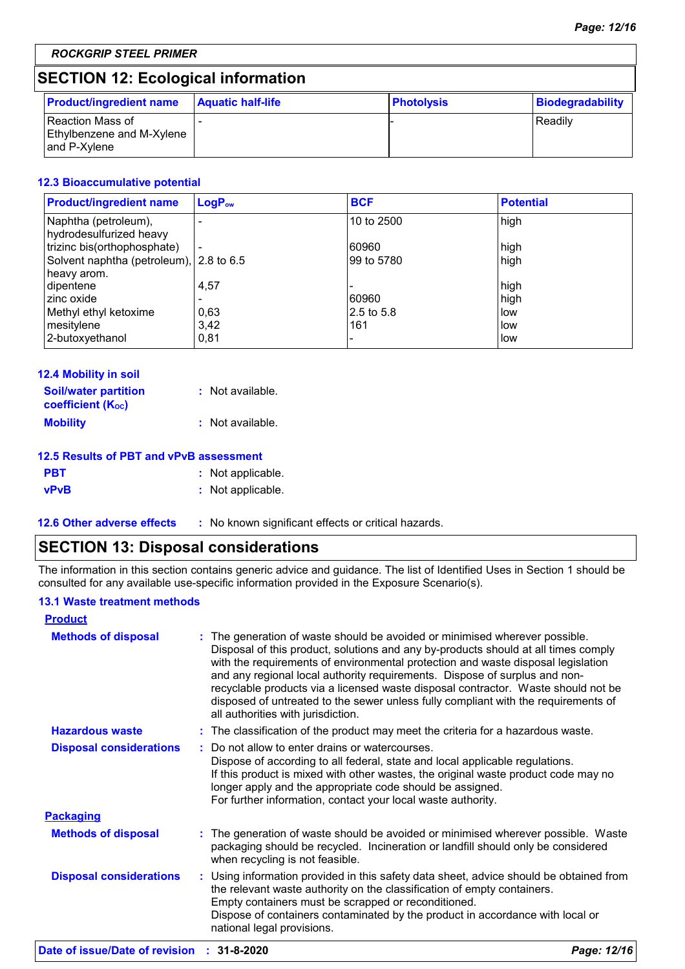### **SECTION 12: Ecological information**

| <b>Product/ingredient name</b>                                  | <b>Aquatic half-life</b> | Photolysis | <b>Biodegradability</b> |
|-----------------------------------------------------------------|--------------------------|------------|-------------------------|
| l Reaction Mass of<br>Ethylbenzene and M-Xylene<br>and P-Xylene |                          |            | l Readilv               |

### **12.3 Bioaccumulative potential**

| <b>Product/ingredient name</b>                  | LogP <sub>ow</sub>       | <b>BCF</b> | <b>Potential</b> |
|-------------------------------------------------|--------------------------|------------|------------------|
| Naphtha (petroleum),<br>hydrodesulfurized heavy |                          | 10 to 2500 | high             |
| trizinc bis(orthophosphate)                     | $\overline{\phantom{a}}$ | 60960      | high             |
| Solvent naphtha (petroleum), 2.8 to 6.5         |                          | 99 to 5780 | high             |
| heavy arom.                                     |                          |            |                  |
| dipentene                                       | 4,57                     |            | high             |
| zinc oxide                                      |                          | 60960      | high             |
| Methyl ethyl ketoxime                           | 0,63                     | 2.5 to 5.8 | low              |
| mesitylene                                      | 3.42                     | 161        | low              |
| 2-butoxyethanol                                 | 0,81                     |            | low              |

| 12.4 Mobility in soil                                   |                  |
|---------------------------------------------------------|------------------|
| <b>Soil/water partition</b><br><b>coefficient (Koc)</b> | : Not available. |
| <b>Mobility</b>                                         | : Not available. |

#### **12.5 Results of PBT and vPvB assessment**

| <b>PBT</b>  | : Not applicable. |
|-------------|-------------------|
| <b>vPvB</b> | : Not applicable. |

**12.6 Other adverse effects** : No known significant effects or critical hazards.

### **SECTION 13: Disposal considerations**

The information in this section contains generic advice and guidance. The list of Identified Uses in Section 1 should be consulted for any available use-specific information provided in the Exposure Scenario(s).

### **13.1 Waste treatment methods**

| The generation of waste should be avoided or minimised wherever possible.<br>Disposal of this product, solutions and any by-products should at all times comply<br>with the requirements of environmental protection and waste disposal legislation<br>and any regional local authority requirements. Dispose of surplus and non-<br>recyclable products via a licensed waste disposal contractor. Waste should not be<br>disposed of untreated to the sewer unless fully compliant with the requirements of<br>all authorities with jurisdiction. |
|----------------------------------------------------------------------------------------------------------------------------------------------------------------------------------------------------------------------------------------------------------------------------------------------------------------------------------------------------------------------------------------------------------------------------------------------------------------------------------------------------------------------------------------------------|
| : The classification of the product may meet the criteria for a hazardous waste.                                                                                                                                                                                                                                                                                                                                                                                                                                                                   |
| Do not allow to enter drains or watercourses.<br>÷.<br>Dispose of according to all federal, state and local applicable regulations.<br>If this product is mixed with other wastes, the original waste product code may no<br>longer apply and the appropriate code should be assigned.<br>For further information, contact your local waste authority.                                                                                                                                                                                             |
|                                                                                                                                                                                                                                                                                                                                                                                                                                                                                                                                                    |
| : The generation of waste should be avoided or minimised wherever possible. Waste<br>packaging should be recycled. Incineration or landfill should only be considered<br>when recycling is not feasible.                                                                                                                                                                                                                                                                                                                                           |
| : Using information provided in this safety data sheet, advice should be obtained from<br>the relevant waste authority on the classification of empty containers.<br>Empty containers must be scrapped or reconditioned.<br>Dispose of containers contaminated by the product in accordance with local or<br>national legal provisions.                                                                                                                                                                                                            |
|                                                                                                                                                                                                                                                                                                                                                                                                                                                                                                                                                    |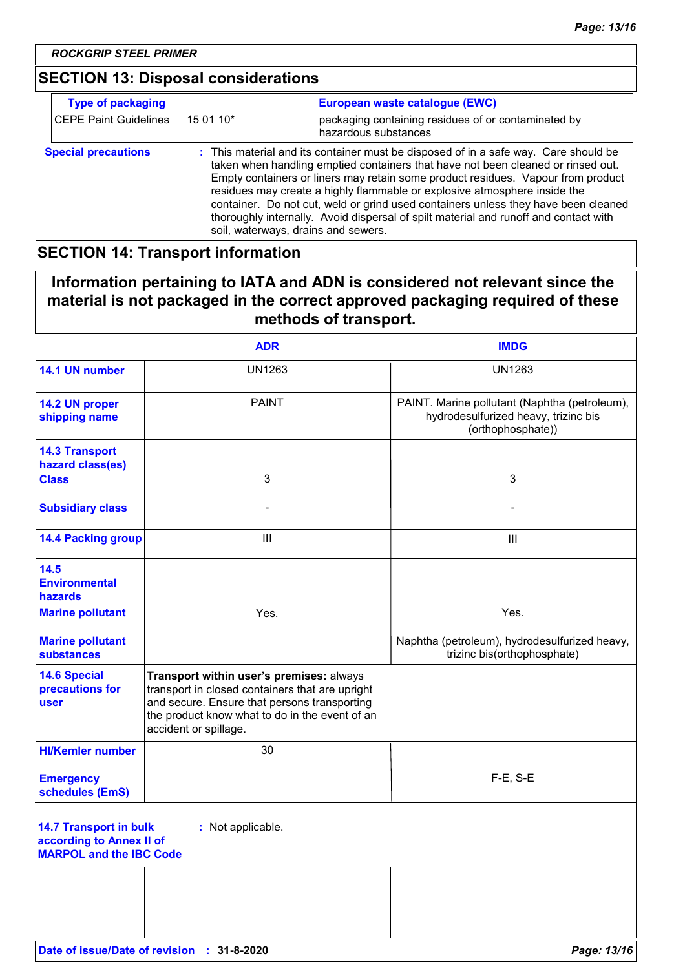### **SECTION 13: Disposal considerations**

| <b>Type of packaging</b>     |                                                                                                                                                                                                                                                                                                                                                                                                                                                                                                                                                               | European waste catalogue (EWC)                                              |
|------------------------------|---------------------------------------------------------------------------------------------------------------------------------------------------------------------------------------------------------------------------------------------------------------------------------------------------------------------------------------------------------------------------------------------------------------------------------------------------------------------------------------------------------------------------------------------------------------|-----------------------------------------------------------------------------|
| <b>CEPE Paint Guidelines</b> | 15 01 10*                                                                                                                                                                                                                                                                                                                                                                                                                                                                                                                                                     | packaging containing residues of or contaminated by<br>hazardous substances |
| <b>Special precautions</b>   | : This material and its container must be disposed of in a safe way. Care should be<br>taken when handling emptied containers that have not been cleaned or rinsed out.<br>Empty containers or liners may retain some product residues. Vapour from product<br>residues may create a highly flammable or explosive atmosphere inside the<br>container. Do not cut, weld or grind used containers unless they have been cleaned<br>thoroughly internally. Avoid dispersal of spilt material and runoff and contact with<br>soil, waterways, drains and sewers. |                                                                             |

### **SECTION 14: Transport information**

### **Information pertaining to IATA and ADN is considered not relevant since the material is not packaged in the correct approved packaging required of these methods of transport.**

|                                                                                             | <b>ADR</b>                                                                                                                                                                                                             | <b>IMDG</b>                                                                                                |
|---------------------------------------------------------------------------------------------|------------------------------------------------------------------------------------------------------------------------------------------------------------------------------------------------------------------------|------------------------------------------------------------------------------------------------------------|
| 14.1 UN number                                                                              | <b>UN1263</b>                                                                                                                                                                                                          | <b>UN1263</b>                                                                                              |
| 14.2 UN proper<br>shipping name                                                             | <b>PAINT</b>                                                                                                                                                                                                           | PAINT. Marine pollutant (Naphtha (petroleum),<br>hydrodesulfurized heavy, trizinc bis<br>(orthophosphate)) |
| <b>14.3 Transport</b><br>hazard class(es)<br><b>Class</b>                                   | 3                                                                                                                                                                                                                      | 3                                                                                                          |
| <b>Subsidiary class</b>                                                                     |                                                                                                                                                                                                                        |                                                                                                            |
| <b>14.4 Packing group</b>                                                                   | $\mathbf{III}$                                                                                                                                                                                                         | $\mathbf{III}$                                                                                             |
| 14.5<br><b>Environmental</b><br>hazards                                                     |                                                                                                                                                                                                                        |                                                                                                            |
| <b>Marine pollutant</b>                                                                     | Yes.                                                                                                                                                                                                                   | Yes.                                                                                                       |
| <b>Marine pollutant</b><br><b>substances</b>                                                |                                                                                                                                                                                                                        | Naphtha (petroleum), hydrodesulfurized heavy,<br>trizinc bis(orthophosphate)                               |
| <b>14.6 Special</b><br>precautions for<br>user                                              | Transport within user's premises: always<br>transport in closed containers that are upright<br>and secure. Ensure that persons transporting<br>the product know what to do in the event of an<br>accident or spillage. |                                                                                                            |
| <b>HI/Kemler number</b>                                                                     | 30                                                                                                                                                                                                                     |                                                                                                            |
| <b>Emergency</b><br>schedules (EmS)                                                         |                                                                                                                                                                                                                        | $F-E$ , S-E                                                                                                |
| <b>14.7 Transport in bulk</b><br>according to Annex II of<br><b>MARPOL and the IBC Code</b> | : Not applicable.                                                                                                                                                                                                      |                                                                                                            |
|                                                                                             |                                                                                                                                                                                                                        |                                                                                                            |
|                                                                                             |                                                                                                                                                                                                                        |                                                                                                            |
|                                                                                             | Date of issue/Date of revision : 31-8-2020                                                                                                                                                                             | Page: 13/16                                                                                                |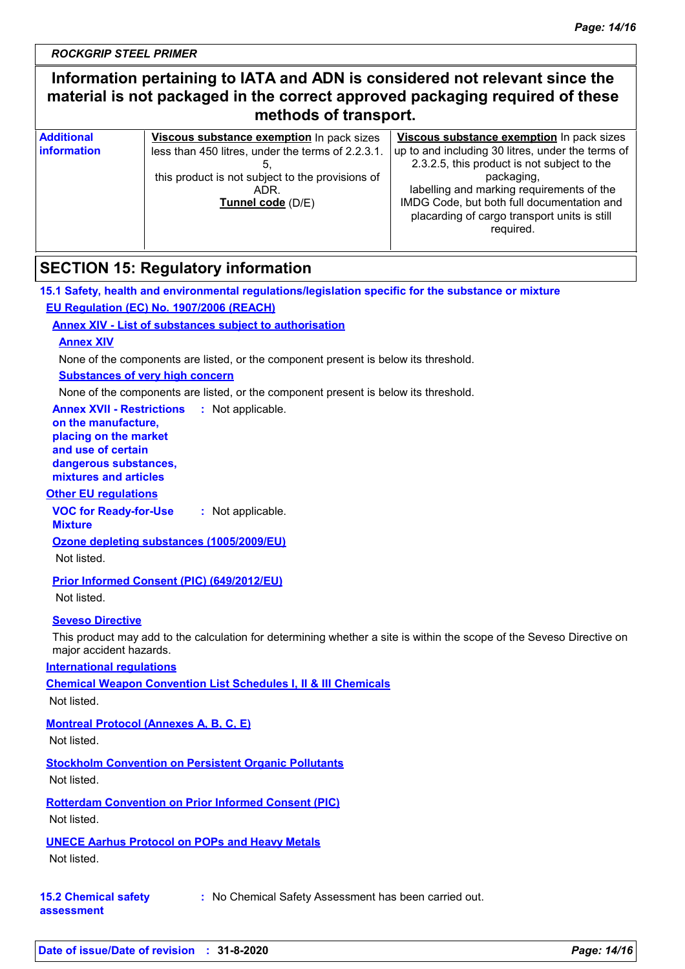### **Information pertaining to IATA and ADN is considered not relevant since the material is not packaged in the correct approved packaging required of these methods of transport.**

| <b>Additional</b>  | Viscous substance exemption In pack sizes         | Viscous substance exemption In pack sizes         |
|--------------------|---------------------------------------------------|---------------------------------------------------|
| <b>information</b> | less than 450 litres, under the terms of 2.2.3.1. | up to and including 30 litres, under the terms of |
|                    |                                                   | 2.3.2.5, this product is not subject to the       |
|                    | this product is not subject to the provisions of  | packaging,                                        |
|                    | ADR.                                              | labelling and marking requirements of the         |
|                    | Tunnel code (D/E)                                 | IMDG Code, but both full documentation and        |
|                    |                                                   | placarding of cargo transport units is still      |
|                    |                                                   | required.                                         |
|                    |                                                   |                                                   |

### **SECTION 15: Regulatory information**

### **15.1 Safety, health and environmental regulations/legislation specific for the substance or mixture EU Regulation (EC) No. 1907/2006 (REACH)**

### **Annex XIV - List of substances subject to authorisation**

#### **Annex XIV**

None of the components are listed, or the component present is below its threshold.

#### **Substances of very high concern**

None of the components are listed, or the component present is below its threshold.

**Annex XVII - Restrictions :** Not applicable. **on the manufacture, placing on the market and use of certain dangerous substances, mixtures and articles**

#### **Other EU regulations**

**VOC for Ready-for-Use :** Not applicable.

**Mixture**

**Ozone depleting substances (1005/2009/EU)**

Not listed.

#### **Prior Informed Consent (PIC) (649/2012/EU)**

Not listed.

#### **Seveso Directive**

This product may add to the calculation for determining whether a site is within the scope of the Seveso Directive on major accident hazards.

**International regulations**

**Chemical Weapon Convention List Schedules I, II & III Chemicals**

Not listed.

### **Montreal Protocol (Annexes A, B, C, E)**

Not listed.

### **Stockholm Convention on Persistent Organic Pollutants**

Not listed.

**Rotterdam Convention on Prior Informed Consent (PIC)**

Not listed.

### **UNECE Aarhus Protocol on POPs and Heavy Metals**

Not listed.

**15.2 Chemical safety :** No Chemical Safety Assessment has been carried out.

**assessment**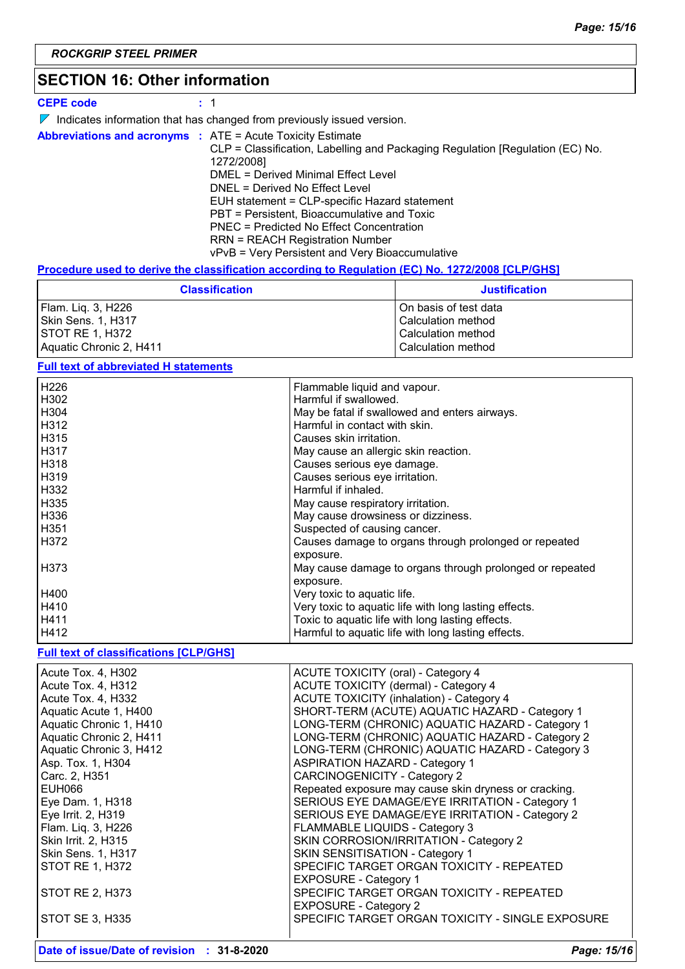### **SECTION 16: Other information**

#### **CEPE code :** 1

 $\nabla$  Indicates information that has changed from previously issued version.

**Abbreviations and acronyms :** ATE = Acute Toxicity Estimate CLP = Classification, Labelling and Packaging Regulation [Regulation (EC) No. 1272/2008] DMEL = Derived Minimal Effect Level DNEL = Derived No Effect Level EUH statement = CLP-specific Hazard statement PBT = Persistent, Bioaccumulative and Toxic PNEC = Predicted No Effect Concentration RRN = REACH Registration Number vPvB = Very Persistent and Very Bioaccumulative

#### **Procedure used to derive the classification according to Regulation (EC) No. 1272/2008 [CLP/GHS]**

| <b>Classification</b>   | <b>Justification</b>  |
|-------------------------|-----------------------|
| Flam. Liq. 3, H226      | On basis of test data |
| Skin Sens. 1, H317      | l Calculation method  |
| <b>STOT RE 1, H372</b>  | Calculation method    |
| Aquatic Chronic 2, H411 | Calculation method    |

#### **Full text of abbreviated H statements**

| H226 | Flammable liquid and vapour.                             |
|------|----------------------------------------------------------|
|      |                                                          |
| H302 | Harmful if swallowed.                                    |
| H304 | May be fatal if swallowed and enters airways.            |
| H312 | Harmful in contact with skin.                            |
| H315 | Causes skin irritation.                                  |
| H317 | May cause an allergic skin reaction.                     |
| H318 | Causes serious eye damage.                               |
| H319 | Causes serious eye irritation.                           |
| H332 | Harmful if inhaled.                                      |
| H335 | May cause respiratory irritation.                        |
| H336 | May cause drowsiness or dizziness.                       |
| H351 | Suspected of causing cancer.                             |
| H372 | Causes damage to organs through prolonged or repeated    |
|      | exposure.                                                |
| H373 | May cause damage to organs through prolonged or repeated |
|      | exposure.                                                |
| H400 | Very toxic to aquatic life.                              |
| H410 | Very toxic to aquatic life with long lasting effects.    |
| H411 | Toxic to aquatic life with long lasting effects.         |
| H412 | Harmful to aquatic life with long lasting effects.       |

#### **Full text of classifications [CLP/GHS]**

| Acute Tox. 4, H302        | <b>ACUTE TOXICITY (oral) - Category 4</b>             |
|---------------------------|-------------------------------------------------------|
|                           |                                                       |
| Acute Tox. 4, H312        | ACUTE TOXICITY (dermal) - Category 4                  |
| Acute Tox. 4. H332        | ACUTE TOXICITY (inhalation) - Category 4              |
| Aquatic Acute 1, H400     | SHORT-TERM (ACUTE) AQUATIC HAZARD - Category 1        |
| Aquatic Chronic 1, H410   | LONG-TERM (CHRONIC) AQUATIC HAZARD - Category 1       |
| Aquatic Chronic 2, H411   | LONG-TERM (CHRONIC) AQUATIC HAZARD - Category 2       |
| Aquatic Chronic 3, H412   | LONG-TERM (CHRONIC) AQUATIC HAZARD - Category 3       |
| Asp. Tox. 1, H304         | <b>ASPIRATION HAZARD - Category 1</b>                 |
| Carc. 2, H351             | <b>CARCINOGENICITY - Category 2</b>                   |
| EUH066                    | Repeated exposure may cause skin dryness or cracking. |
| Eye Dam. 1, H318          | SERIOUS EYE DAMAGE/EYE IRRITATION - Category 1        |
| Eye Irrit. 2, H319        | SERIOUS EYE DAMAGE/EYE IRRITATION - Category 2        |
| Flam. Liq. 3, H226        | FLAMMABLE LIQUIDS - Category 3                        |
| Skin Irrit. 2, H315       | SKIN CORROSION/IRRITATION - Category 2                |
| <b>Skin Sens. 1, H317</b> | <b>SKIN SENSITISATION - Category 1</b>                |
| <b>STOT RE 1, H372</b>    | SPECIFIC TARGET ORGAN TOXICITY - REPEATED             |
|                           | <b>EXPOSURE - Category 1</b>                          |
| STOT RE 2, H373           | SPECIFIC TARGET ORGAN TOXICITY - REPEATED             |
|                           | <b>EXPOSURE - Category 2</b>                          |
| STOT SE 3, H335           | SPECIFIC TARGET ORGAN TOXICITY - SINGLE EXPOSURE      |
|                           |                                                       |